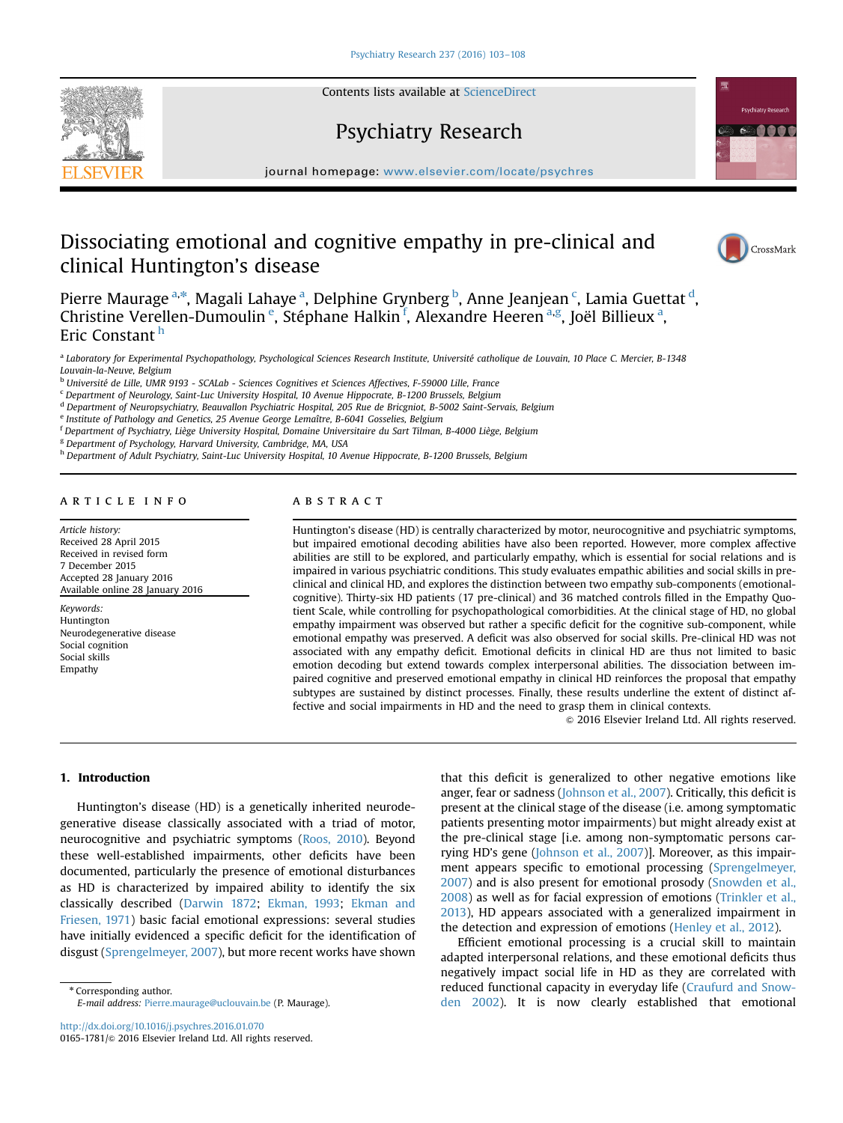

Contents lists available at [ScienceDirect](www.sciencedirect.com/science/journal/01651781)

# Psychiatry Research



journal homepage: <www.elsevier.com/locate/psychres>

# Dissociating emotional and cognitive empathy in pre-clinical and clinical Huntington's disease



Pierre Maurage <sup>a,\*</sup>, Magali Lahaye <sup>a</sup>, Delphine Grynberg <sup>b</sup>, Anne Jeanjean <sup>c</sup>, Lamia Guettat <sup>d</sup>, Christine Verellen-Dumoulin<sup>e</sup>, Stéphane Halkin<sup>f</sup>, Alexandre Heeren<sup>a,g</sup>, Joël Billieux<sup>a</sup>, Eric Constant <sup>h</sup>

<sup>a</sup> Laboratory for Experimental Psychopathology, Psychological Sciences Research Institute, Université catholique de Louvain, 10 Place C. Mercier, B-1348 Louvain-la-Neuve, Belgium

<sup>b</sup> Université de Lille, UMR 9193 - SCALab - Sciences Cognitives et Sciences Affectives, F-59000 Lille, France

<sup>c</sup> Department of Neurology, Saint-Luc University Hospital, 10 Avenue Hippocrate, B-1200 Brussels, Belgium

<sup>d</sup> Department of Neuropsychiatry, Beauvallon Psychiatric Hospital, 205 Rue de Bricgniot, B-5002 Saint-Servais, Belgium

<sup>e</sup> Institute of Pathology and Genetics, 25 Avenue George Lemaître, B-6041 Gosselies, Belgium

<sup>f</sup> Department of Psychiatry, Liège University Hospital, Domaine Universitaire du Sart Tilman, B-4000 Liège, Belgium

<sup>g</sup> Department of Psychology, Harvard University, Cambridge, MA, USA

<sup>h</sup> Department of Adult Psychiatry, Saint-Luc University Hospital, 10 Avenue Hippocrate, B-1200 Brussels, Belgium

# article info

Article history: Received 28 April 2015 Received in revised form 7 December 2015 Accepted 28 January 2016 Available online 28 January 2016

Keywords: Huntington Neurodegenerative disease Social cognition Social skills Empathy

# ABSTRACT

Huntington's disease (HD) is centrally characterized by motor, neurocognitive and psychiatric symptoms, but impaired emotional decoding abilities have also been reported. However, more complex affective abilities are still to be explored, and particularly empathy, which is essential for social relations and is impaired in various psychiatric conditions. This study evaluates empathic abilities and social skills in preclinical and clinical HD, and explores the distinction between two empathy sub-components (emotionalcognitive). Thirty-six HD patients (17 pre-clinical) and 36 matched controls filled in the Empathy Quotient Scale, while controlling for psychopathological comorbidities. At the clinical stage of HD, no global empathy impairment was observed but rather a specific deficit for the cognitive sub-component, while emotional empathy was preserved. A deficit was also observed for social skills. Pre-clinical HD was not associated with any empathy deficit. Emotional deficits in clinical HD are thus not limited to basic emotion decoding but extend towards complex interpersonal abilities. The dissociation between impaired cognitive and preserved emotional empathy in clinical HD reinforces the proposal that empathy subtypes are sustained by distinct processes. Finally, these results underline the extent of distinct affective and social impairments in HD and the need to grasp them in clinical contexts.

 $\odot$  2016 Elsevier Ireland Ltd. All rights reserved.

## 1. Introduction

Huntington's disease (HD) is a genetically inherited neurodegenerative disease classically associated with a triad of motor, neurocognitive and psychiatric symptoms ([Roos, 2010](#page-5-0)). Beyond these well-established impairments, other deficits have been documented, particularly the presence of emotional disturbances as HD is characterized by impaired ability to identify the six classically described ([Darwin 1872](#page-5-0); [Ekman, 1993](#page-5-0); [Ekman and](#page-5-0) [Friesen, 1971](#page-5-0)) basic facial emotional expressions: several studies have initially evidenced a specific deficit for the identification of disgust ([Sprengelmeyer, 2007\)](#page-5-0), but more recent works have shown

\* Corresponding author. E-mail address: [Pierre.maurage@uclouvain.be](mailto:Pierre.maurage@uclouvain.be) (P. Maurage).

<http://dx.doi.org/10.1016/j.psychres.2016.01.070> 0165-1781/© 2016 Elsevier Ireland Ltd. All rights reserved. that this deficit is generalized to other negative emotions like anger, fear or sadness [\(Johnson et al., 2007\)](#page-5-0). Critically, this deficit is present at the clinical stage of the disease (i.e. among symptomatic patients presenting motor impairments) but might already exist at the pre-clinical stage [i.e. among non-symptomatic persons carrying HD's gene ([Johnson et al., 2007](#page-5-0))]. Moreover, as this impairment appears specific to emotional processing [\(Sprengelmeyer,](#page-5-0) [2007\)](#page-5-0) and is also present for emotional prosody ([Snowden et al.,](#page-5-0) [2008\)](#page-5-0) as well as for facial expression of emotions [\(Trinkler et al.,](#page-5-0) [2013\)](#page-5-0), HD appears associated with a generalized impairment in the detection and expression of emotions [\(Henley et al., 2012](#page-5-0)).

Efficient emotional processing is a crucial skill to maintain adapted interpersonal relations, and these emotional deficits thus negatively impact social life in HD as they are correlated with reduced functional capacity in everyday life [\(Craufurd and Snow](#page-5-0)[den 2002\)](#page-5-0). It is now clearly established that emotional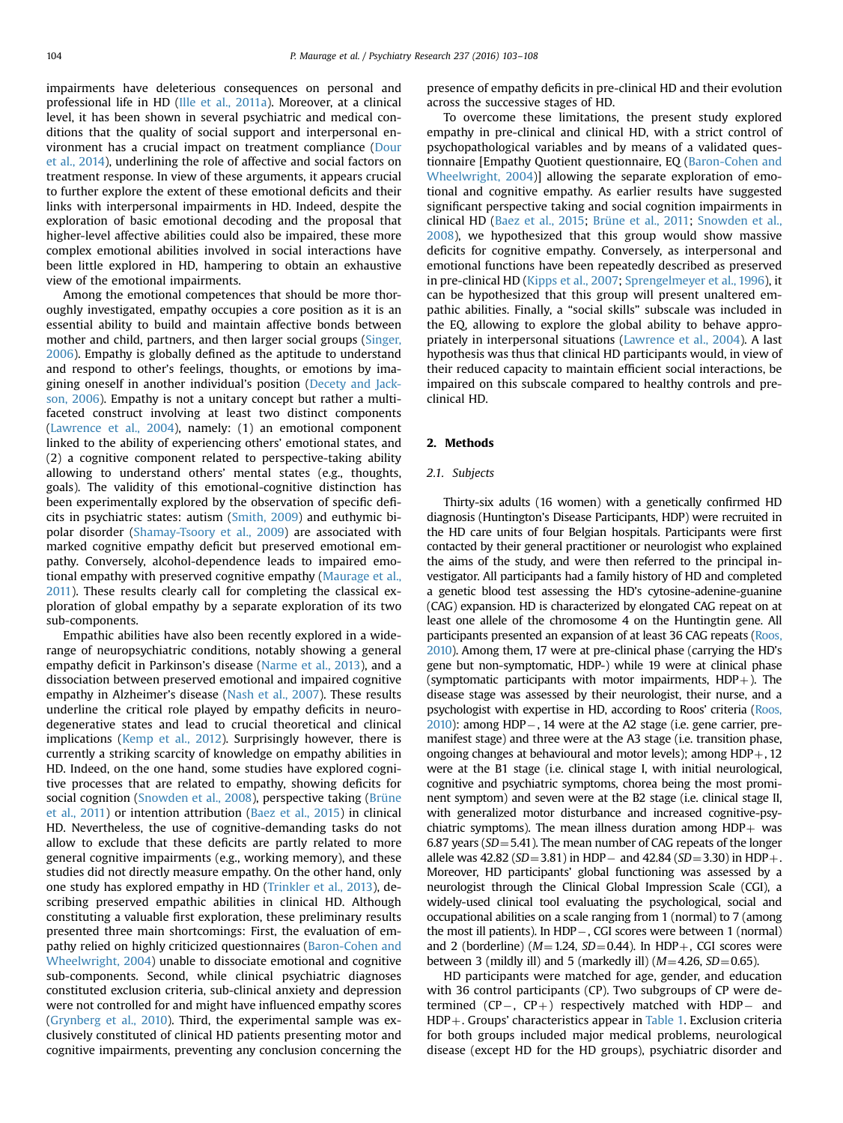impairments have deleterious consequences on personal and professional life in HD ([Ille et al., 2011a\)](#page-5-0). Moreover, at a clinical level, it has been shown in several psychiatric and medical conditions that the quality of social support and interpersonal environment has a crucial impact on treatment compliance ([Dour](#page-5-0) [et al., 2014](#page-5-0)), underlining the role of affective and social factors on treatment response. In view of these arguments, it appears crucial to further explore the extent of these emotional deficits and their links with interpersonal impairments in HD. Indeed, despite the exploration of basic emotional decoding and the proposal that higher-level affective abilities could also be impaired, these more complex emotional abilities involved in social interactions have been little explored in HD, hampering to obtain an exhaustive view of the emotional impairments.

Among the emotional competences that should be more thoroughly investigated, empathy occupies a core position as it is an essential ability to build and maintain affective bonds between mother and child, partners, and then larger social groups [\(Singer,](#page-5-0) [2006](#page-5-0)). Empathy is globally defined as the aptitude to understand and respond to other's feelings, thoughts, or emotions by imagining oneself in another individual's position ([Decety and Jack](#page-5-0)[son, 2006](#page-5-0)). Empathy is not a unitary concept but rather a multifaceted construct involving at least two distinct components ([Lawrence et al., 2004](#page-5-0)), namely: (1) an emotional component linked to the ability of experiencing others' emotional states, and (2) a cognitive component related to perspective-taking ability allowing to understand others' mental states (e.g., thoughts, goals). The validity of this emotional-cognitive distinction has been experimentally explored by the observation of specific deficits in psychiatric states: autism ([Smith, 2009\)](#page-5-0) and euthymic bipolar disorder ([Shamay-Tsoory et al., 2009\)](#page-5-0) are associated with marked cognitive empathy deficit but preserved emotional empathy. Conversely, alcohol-dependence leads to impaired emotional empathy with preserved cognitive empathy [\(Maurage et al.,](#page-5-0) [2011\)](#page-5-0). These results clearly call for completing the classical exploration of global empathy by a separate exploration of its two sub-components.

Empathic abilities have also been recently explored in a widerange of neuropsychiatric conditions, notably showing a general empathy deficit in Parkinson's disease ([Narme et al., 2013\)](#page-5-0), and a dissociation between preserved emotional and impaired cognitive empathy in Alzheimer's disease ([Nash et al., 2007\)](#page-5-0). These results underline the critical role played by empathy deficits in neurodegenerative states and lead to crucial theoretical and clinical implications [\(Kemp et al., 2012\)](#page-5-0). Surprisingly however, there is currently a striking scarcity of knowledge on empathy abilities in HD. Indeed, on the one hand, some studies have explored cognitive processes that are related to empathy, showing deficits for social cognition ([Snowden et al., 2008](#page-5-0)), perspective taking [\(Brüne](#page-4-0) [et al., 2011\)](#page-4-0) or intention attribution [\(Baez et al., 2015](#page-4-0)) in clinical HD. Nevertheless, the use of cognitive-demanding tasks do not allow to exclude that these deficits are partly related to more general cognitive impairments (e.g., working memory), and these studies did not directly measure empathy. On the other hand, only one study has explored empathy in HD [\(Trinkler et al., 2013](#page-5-0)), describing preserved empathic abilities in clinical HD. Although constituting a valuable first exploration, these preliminary results presented three main shortcomings: First, the evaluation of empathy relied on highly criticized questionnaires ([Baron-Cohen and](#page-4-0) [Wheelwright, 2004\)](#page-4-0) unable to dissociate emotional and cognitive sub-components. Second, while clinical psychiatric diagnoses constituted exclusion criteria, sub-clinical anxiety and depression were not controlled for and might have influenced empathy scores ([Grynberg et al., 2010](#page-5-0)). Third, the experimental sample was exclusively constituted of clinical HD patients presenting motor and cognitive impairments, preventing any conclusion concerning the presence of empathy deficits in pre-clinical HD and their evolution across the successive stages of HD.

To overcome these limitations, the present study explored empathy in pre-clinical and clinical HD, with a strict control of psychopathological variables and by means of a validated questionnaire [Empathy Quotient questionnaire, EQ ([Baron-Cohen and](#page-4-0) [Wheelwright, 2004\)](#page-4-0)] allowing the separate exploration of emotional and cognitive empathy. As earlier results have suggested significant perspective taking and social cognition impairments in clinical HD ([Baez et al., 2015](#page-4-0); [Brüne et al., 2011](#page-4-0); [Snowden et al.,](#page-5-0) [2008\)](#page-5-0), we hypothesized that this group would show massive deficits for cognitive empathy. Conversely, as interpersonal and emotional functions have been repeatedly described as preserved in pre-clinical HD ([Kipps et al., 2007;](#page-5-0) [Sprengelmeyer et al., 1996](#page-5-0)), it can be hypothesized that this group will present unaltered empathic abilities. Finally, a "social skills" subscale was included in the EQ, allowing to explore the global ability to behave appropriately in interpersonal situations ([Lawrence et al., 2004](#page-5-0)). A last hypothesis was thus that clinical HD participants would, in view of their reduced capacity to maintain efficient social interactions, be impaired on this subscale compared to healthy controls and preclinical HD.

## 2. Methods

#### 2.1. Subjects

Thirty-six adults (16 women) with a genetically confirmed HD diagnosis (Huntington's Disease Participants, HDP) were recruited in the HD care units of four Belgian hospitals. Participants were first contacted by their general practitioner or neurologist who explained the aims of the study, and were then referred to the principal investigator. All participants had a family history of HD and completed a genetic blood test assessing the HD's cytosine-adenine-guanine (CAG) expansion. HD is characterized by elongated CAG repeat on at least one allele of the chromosome 4 on the Huntingtin gene. All participants presented an expansion of at least 36 CAG repeats ([Roos,](#page-5-0) [2010](#page-5-0)). Among them, 17 were at pre-clinical phase (carrying the HD's gene but non-symptomatic, HDP-) while 19 were at clinical phase (symptomatic participants with motor impairments,  $HDP+$ ). The disease stage was assessed by their neurologist, their nurse, and a psychologist with expertise in HD, according to Roos' criteria ([Roos,](#page-5-0)  $2010$ ): among HDP $-$ , 14 were at the A2 stage (i.e. gene carrier, premanifest stage) and three were at the A3 stage (i.e. transition phase, ongoing changes at behavioural and motor levels); among  $HDP +$ , 12 were at the B1 stage (i.e. clinical stage I, with initial neurological, cognitive and psychiatric symptoms, chorea being the most prominent symptom) and seven were at the B2 stage (i.e. clinical stage II, with generalized motor disturbance and increased cognitive-psychiatric symptoms). The mean illness duration among  $HDP + was$ 6.87 years ( $SD = 5.41$ ). The mean number of CAG repeats of the longer allele was 42.82 (SD=3.81) in HDP- and 42.84 (SD=3.30) in HDP+. Moreover, HD participants' global functioning was assessed by a neurologist through the Clinical Global Impression Scale (CGI), a widely-used clinical tool evaluating the psychological, social and occupational abilities on a scale ranging from 1 (normal) to 7 (among the most ill patients). In HDP $-$ , CGI scores were between 1 (normal) and 2 (borderline) ( $M=1.24$ ,  $SD=0.44$ ). In HDP+, CGI scores were between 3 (mildly ill) and 5 (markedly ill)  $(M=4.26, SD=0.65)$ .

HD participants were matched for age, gender, and education with 36 control participants (CP). Two subgroups of CP were determined  $(CP-, CP+)$  respectively matched with HDP- and  $HDP +$ . Groups' characteristics appear in [Table 1](#page-2-0). Exclusion criteria for both groups included major medical problems, neurological disease (except HD for the HD groups), psychiatric disorder and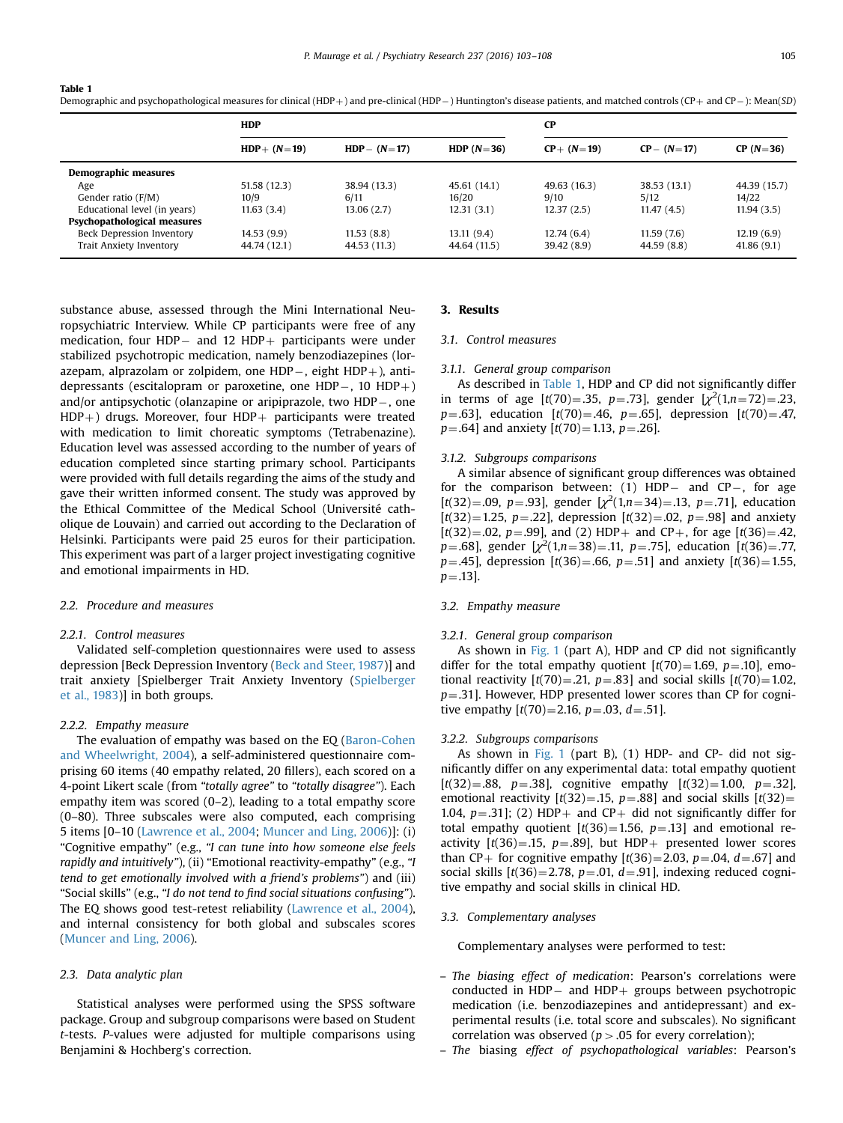<span id="page-2-0"></span>Demographic and psychopathological measures for clinical (HDP+) and pre-clinical (HDP-) Huntington's disease patients, and matched controls (CP+ and CP-): Mean(SD)

|                                    | <b>HDP</b>     |                |              | $\bf CP$      |               |              |
|------------------------------------|----------------|----------------|--------------|---------------|---------------|--------------|
|                                    | $HDP + (N=19)$ | $HDP - (N=17)$ | HDP $(N=36)$ | $CP + (N=19)$ | $CP - (N=17)$ | $CP (N=36)$  |
| Demographic measures               |                |                |              |               |               |              |
| Age                                | 51.58 (12.3)   | 38.94 (13.3)   | 45.61 (14.1) | 49.63 (16.3)  | 38.53 (13.1)  | 44.39 (15.7) |
| Gender ratio (F/M)                 | 10/9           | 6/11           | 16/20        | 9/10          | 5/12          | 14/22        |
| Educational level (in years)       | 11.63(3.4)     | 13.06(2.7)     | 12.31(3.1)   | 12.37(2.5)    | 11.47(4.5)    | 11.94(3.5)   |
| <b>Psychopathological measures</b> |                |                |              |               |               |              |
| Beck Depression Inventory          | 14.53(9.9)     | 11.53(8.8)     | 13.11(9.4)   | 12.74(6.4)    | 11.59(7.6)    | 12.19(6.9)   |
| Trait Anxiety Inventory            | 44.74 (12.1)   | 44.53 (11.3)   | 44.64 (11.5) | 39.42 (8.9)   | 44.59 (8.8)   | 41.86(9.1)   |
|                                    |                |                |              |               |               |              |

substance abuse, assessed through the Mini International Neuropsychiatric Interview. While CP participants were free of any medication, four HDP $-$  and 12 HDP $+$  participants were under stabilized psychotropic medication, namely benzodiazepines (lorazepam, alprazolam or zolpidem, one HDP $-$ , eight HDP $+$ ), antidepressants (escitalopram or paroxetine, one HDP $-$ , 10 HDP $+$ ) and/or antipsychotic (olanzapine or aripiprazole, two  $HDP-$ , one  $HDP +$ ) drugs. Moreover, four  $HDP +$  participants were treated with medication to limit choreatic symptoms (Tetrabenazine). Education level was assessed according to the number of years of education completed since starting primary school. Participants were provided with full details regarding the aims of the study and gave their written informed consent. The study was approved by the Ethical Committee of the Medical School (Université catholique de Louvain) and carried out according to the Declaration of Helsinki. Participants were paid 25 euros for their participation. This experiment was part of a larger project investigating cognitive and emotional impairments in HD.

## 2.2. Procedure and measures

## 2.2.1. Control measures

Validated self-completion questionnaires were used to assess depression [Beck Depression Inventory ([Beck and Steer, 1987](#page-4-0))] and trait anxiety [Spielberger Trait Anxiety Inventory ([Spielberger](#page-5-0) [et al., 1983\)](#page-5-0)] in both groups.

## 2.2.2. Empathy measure

The evaluation of empathy was based on the EQ [\(Baron-Cohen](#page-4-0) [and Wheelwright, 2004](#page-4-0)), a self-administered questionnaire comprising 60 items (40 empathy related, 20 fillers), each scored on a 4-point Likert scale (from "totally agree" to "totally disagree"). Each empathy item was scored (0–2), leading to a total empathy score (0–80). Three subscales were also computed, each comprising 5 items [0–10 [\(Lawrence et al., 2004;](#page-5-0) [Muncer and Ling, 2006\)](#page-5-0)]: (i) "Cognitive empathy" (e.g., "I can tune into how someone else feels rapidly and intuitively"), (ii) "Emotional reactivity-empathy" (e.g., "I tend to get emotionally involved with a friend's problems") and (iii) "Social skills" (e.g., "I do not tend to find social situations confusing"). The EQ shows good test-retest reliability [\(Lawrence et al., 2004\)](#page-5-0), and internal consistency for both global and subscales scores ([Muncer and Ling, 2006](#page-5-0)).

# 2.3. Data analytic plan

Statistical analyses were performed using the SPSS software package. Group and subgroup comparisons were based on Student t-tests. P-values were adjusted for multiple comparisons using Benjamini & Hochberg's correction.

# 3. Results

## 3.1. Control measures

#### 3.1.1. General group comparison

As described in Table 1, HDP and CP did not significantly differ in terms of age  $[t(70)=.35, p=.73]$ , gender  $[\chi^2(1, n=72)=.23]$  $p=.63$ , education  $[t(70)=.46, p=.65]$ , depression  $[t(70)=.47,$  $p=.64$ ] and anxiety  $[t(70)=1.13, p=.26]$ .

#### 3.1.2. Subgroups comparisons

A similar absence of significant group differences was obtained for the comparison between:  $(1)$  HDP- and CP-, for age  $[t(32)=0.09, p=.93]$ , gender  $[\chi^2(1,n=34)=0.13, p=.71]$ , education  $[t(32)=1.25, p=.22]$ , depression  $[t(32)=.02, p=.98]$  and anxiety  $[t(32)=0.02, p=.99]$ , and (2) HDP+ and CP+, for age  $[t(36)=0.42,$  $p=.68$ , gender  $[\chi^2(1,n=38)=.11, p=.75]$ , education  $[t(36)=.77]$  $p=.45$ ], depression [t(36) = .66,  $p=.51$ ] and anxiety [t(36) = 1.55,  $p = .13$ .

## 3.2. Empathy measure

#### 3.2.1. General group comparison

As shown in [Fig. 1](#page-3-0) (part A), HDP and CP did not significantly differ for the total empathy quotient  $[t(70)=1.69, p=.10]$ , emotional reactivity  $[t(70)=.21, p=.83]$  and social skills  $[t(70)=1.02,$  $p=.31$ ]. However, HDP presented lower scores than CP for cognitive empathy  $[t(70)=2.16, p=.03, d=.51]$ .

## 3.2.2. Subgroups comparisons

As shown in [Fig. 1](#page-3-0) (part B), (1) HDP- and CP- did not significantly differ on any experimental data: total empathy quotient  $[t(32)=.88, p=.38]$ , cognitive empathy  $[t(32)=1.00, p=.32]$ , emotional reactivity  $[t(32)=.15, p=.88]$  and social skills  $[t(32)=$ 1.04,  $p=.31$ ]; (2) HDP+ and CP+ did not significantly differ for total empathy quotient  $[t(36)=1.56, p=.13]$  and emotional reactivity  $[t(36)=.15, p=.89]$ , but HDP+ presented lower scores than CP+ for cognitive empathy  $[t(36)=2.03, p=.04, d=.67]$  and social skills  $[t(36)=2.78, p=.01, d=.91]$ , indexing reduced cognitive empathy and social skills in clinical HD.

## 3.3. Complementary analyses

Complementary analyses were performed to test:

- The biasing effect of medication: Pearson's correlations were conducted in HDP $-$  and HDP $+$  groups between psychotropic medication (i.e. benzodiazepines and antidepressant) and experimental results (i.e. total score and subscales). No significant correlation was observed ( $p > .05$  for every correlation);
- The biasing effect of psychopathological variables: Pearson's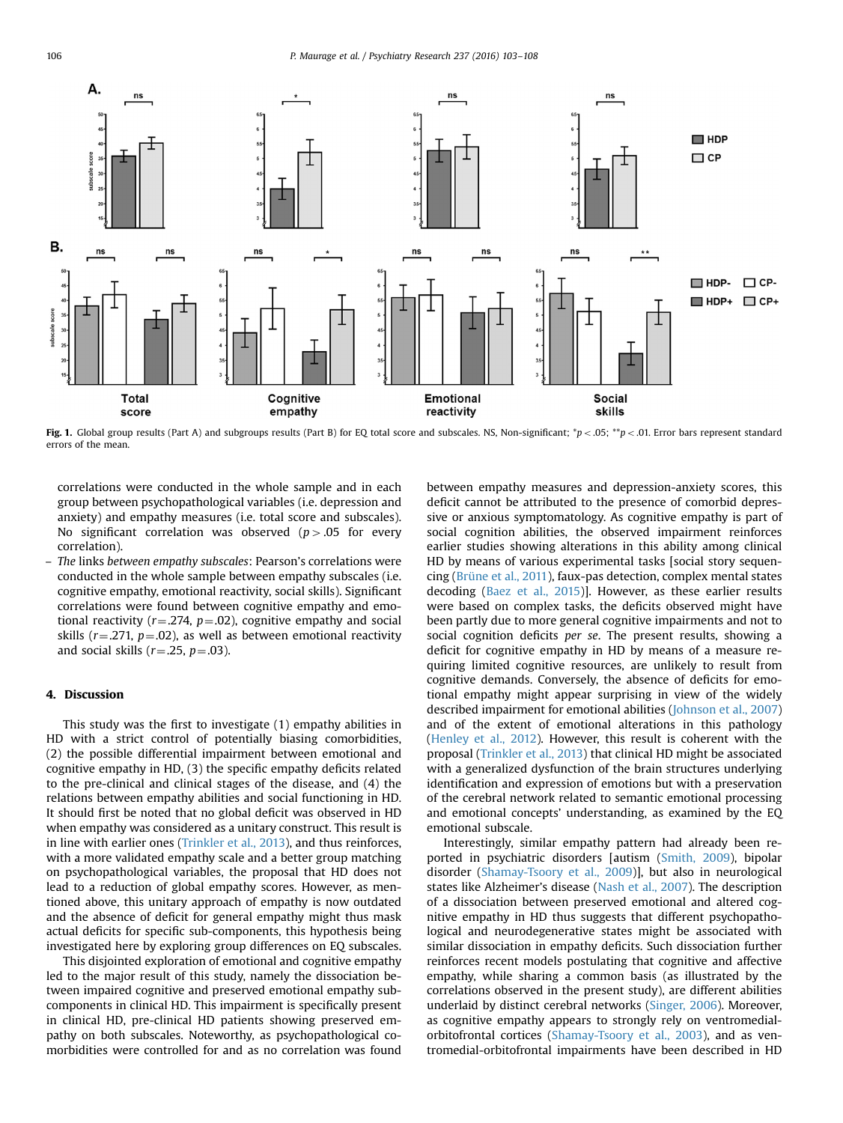<span id="page-3-0"></span>

Fig. 1. Global group results (Part A) and subgroups results (Part B) for EQ total score and subscales. NS, Non-significant;  $\gamma_p$  < .05;  $\gamma_p$  < .01. Error bars represent standard errors of the mean.

correlations were conducted in the whole sample and in each group between psychopathological variables (i.e. depression and anxiety) and empathy measures (i.e. total score and subscales). No significant correlation was observed  $(p>0.05$  for every correlation).

– The links between empathy subscales: Pearson's correlations were conducted in the whole sample between empathy subscales (i.e. cognitive empathy, emotional reactivity, social skills). Significant correlations were found between cognitive empathy and emotional reactivity ( $r = .274$ ,  $p = .02$ ), cognitive empathy and social skills ( $r = .271$ ,  $p = .02$ ), as well as between emotional reactivity and social skills ( $r = .25$ ,  $p = .03$ ).

## 4. Discussion

This study was the first to investigate (1) empathy abilities in HD with a strict control of potentially biasing comorbidities, (2) the possible differential impairment between emotional and cognitive empathy in HD, (3) the specific empathy deficits related to the pre-clinical and clinical stages of the disease, and (4) the relations between empathy abilities and social functioning in HD. It should first be noted that no global deficit was observed in HD when empathy was considered as a unitary construct. This result is in line with earlier ones ([Trinkler et al., 2013\)](#page-5-0), and thus reinforces, with a more validated empathy scale and a better group matching on psychopathological variables, the proposal that HD does not lead to a reduction of global empathy scores. However, as mentioned above, this unitary approach of empathy is now outdated and the absence of deficit for general empathy might thus mask actual deficits for specific sub-components, this hypothesis being investigated here by exploring group differences on EQ subscales.

This disjointed exploration of emotional and cognitive empathy led to the major result of this study, namely the dissociation between impaired cognitive and preserved emotional empathy subcomponents in clinical HD. This impairment is specifically present in clinical HD, pre-clinical HD patients showing preserved empathy on both subscales. Noteworthy, as psychopathological comorbidities were controlled for and as no correlation was found

between empathy measures and depression-anxiety scores, this deficit cannot be attributed to the presence of comorbid depressive or anxious symptomatology. As cognitive empathy is part of social cognition abilities, the observed impairment reinforces earlier studies showing alterations in this ability among clinical HD by means of various experimental tasks [social story sequencing ([Brüne et al., 2011](#page-4-0)), faux-pas detection, complex mental states decoding ([Baez et al., 2015](#page-4-0))]. However, as these earlier results were based on complex tasks, the deficits observed might have been partly due to more general cognitive impairments and not to social cognition deficits per se. The present results, showing a deficit for cognitive empathy in HD by means of a measure requiring limited cognitive resources, are unlikely to result from cognitive demands. Conversely, the absence of deficits for emotional empathy might appear surprising in view of the widely described impairment for emotional abilities ([Johnson et al., 2007\)](#page-5-0) and of the extent of emotional alterations in this pathology ([Henley et al., 2012](#page-5-0)). However, this result is coherent with the proposal ([Trinkler et al., 2013](#page-5-0)) that clinical HD might be associated with a generalized dysfunction of the brain structures underlying identification and expression of emotions but with a preservation of the cerebral network related to semantic emotional processing and emotional concepts' understanding, as examined by the EQ emotional subscale.

Interestingly, similar empathy pattern had already been reported in psychiatric disorders [autism [\(Smith, 2009](#page-5-0)), bipolar disorder [\(Shamay-Tsoory et al., 2009\)](#page-5-0)], but also in neurological states like Alzheimer's disease ([Nash et al., 2007](#page-5-0)). The description of a dissociation between preserved emotional and altered cognitive empathy in HD thus suggests that different psychopathological and neurodegenerative states might be associated with similar dissociation in empathy deficits. Such dissociation further reinforces recent models postulating that cognitive and affective empathy, while sharing a common basis (as illustrated by the correlations observed in the present study), are different abilities underlaid by distinct cerebral networks [\(Singer, 2006\)](#page-5-0). Moreover, as cognitive empathy appears to strongly rely on ventromedialorbitofrontal cortices [\(Shamay-Tsoory et al., 2003\)](#page-5-0), and as ventromedial-orbitofrontal impairments have been described in HD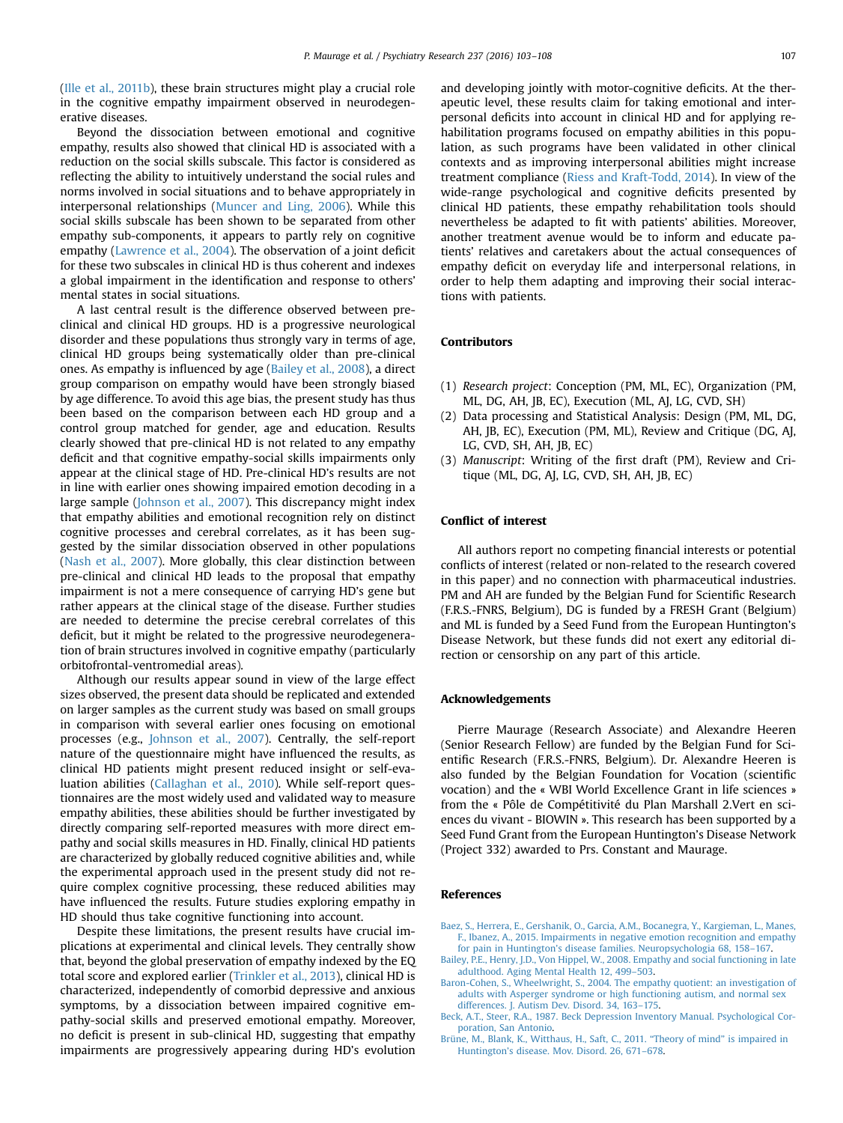<span id="page-4-0"></span>([Ille et al., 2011b\)](#page-5-0), these brain structures might play a crucial role in the cognitive empathy impairment observed in neurodegenerative diseases.

Beyond the dissociation between emotional and cognitive empathy, results also showed that clinical HD is associated with a reduction on the social skills subscale. This factor is considered as reflecting the ability to intuitively understand the social rules and norms involved in social situations and to behave appropriately in interpersonal relationships ([Muncer and Ling, 2006](#page-5-0)). While this social skills subscale has been shown to be separated from other empathy sub-components, it appears to partly rely on cognitive empathy [\(Lawrence et al., 2004](#page-5-0)). The observation of a joint deficit for these two subscales in clinical HD is thus coherent and indexes a global impairment in the identification and response to others' mental states in social situations.

A last central result is the difference observed between preclinical and clinical HD groups. HD is a progressive neurological disorder and these populations thus strongly vary in terms of age, clinical HD groups being systematically older than pre-clinical ones. As empathy is influenced by age (Bailey et al., 2008), a direct group comparison on empathy would have been strongly biased by age difference. To avoid this age bias, the present study has thus been based on the comparison between each HD group and a control group matched for gender, age and education. Results clearly showed that pre-clinical HD is not related to any empathy deficit and that cognitive empathy-social skills impairments only appear at the clinical stage of HD. Pre-clinical HD's results are not in line with earlier ones showing impaired emotion decoding in a large sample [\(Johnson et al., 2007](#page-5-0)). This discrepancy might index that empathy abilities and emotional recognition rely on distinct cognitive processes and cerebral correlates, as it has been suggested by the similar dissociation observed in other populations ([Nash et al., 2007\)](#page-5-0). More globally, this clear distinction between pre-clinical and clinical HD leads to the proposal that empathy impairment is not a mere consequence of carrying HD's gene but rather appears at the clinical stage of the disease. Further studies are needed to determine the precise cerebral correlates of this deficit, but it might be related to the progressive neurodegeneration of brain structures involved in cognitive empathy (particularly orbitofrontal-ventromedial areas).

Although our results appear sound in view of the large effect sizes observed, the present data should be replicated and extended on larger samples as the current study was based on small groups in comparison with several earlier ones focusing on emotional processes (e.g., [Johnson et al., 2007\)](#page-5-0). Centrally, the self-report nature of the questionnaire might have influenced the results, as clinical HD patients might present reduced insight or self-evaluation abilities [\(Callaghan et al., 2010\)](#page-5-0). While self-report questionnaires are the most widely used and validated way to measure empathy abilities, these abilities should be further investigated by directly comparing self-reported measures with more direct empathy and social skills measures in HD. Finally, clinical HD patients are characterized by globally reduced cognitive abilities and, while the experimental approach used in the present study did not require complex cognitive processing, these reduced abilities may have influenced the results. Future studies exploring empathy in HD should thus take cognitive functioning into account.

Despite these limitations, the present results have crucial implications at experimental and clinical levels. They centrally show that, beyond the global preservation of empathy indexed by the EQ total score and explored earlier [\(Trinkler et al., 2013](#page-5-0)), clinical HD is characterized, independently of comorbid depressive and anxious symptoms, by a dissociation between impaired cognitive empathy-social skills and preserved emotional empathy. Moreover, no deficit is present in sub-clinical HD, suggesting that empathy impairments are progressively appearing during HD's evolution and developing jointly with motor-cognitive deficits. At the therapeutic level, these results claim for taking emotional and interpersonal deficits into account in clinical HD and for applying rehabilitation programs focused on empathy abilities in this population, as such programs have been validated in other clinical contexts and as improving interpersonal abilities might increase treatment compliance ([Riess and Kraft-Todd, 2014](#page-5-0)). In view of the wide-range psychological and cognitive deficits presented by clinical HD patients, these empathy rehabilitation tools should nevertheless be adapted to fit with patients' abilities. Moreover, another treatment avenue would be to inform and educate patients' relatives and caretakers about the actual consequences of empathy deficit on everyday life and interpersonal relations, in order to help them adapting and improving their social interactions with patients.

## Contributors

- (1) Research project: Conception (PM, ML, EC), Organization (PM, ML, DG, AH, JB, EC), Execution (ML, AJ, LG, CVD, SH)
- (2) Data processing and Statistical Analysis: Design (PM, ML, DG, AH, JB, EC), Execution (PM, ML), Review and Critique (DG, AJ, LG, CVD, SH, AH, JB, EC)
- (3) Manuscript: Writing of the first draft (PM), Review and Critique (ML, DG, AJ, LG, CVD, SH, AH, JB, EC)

## Conflict of interest

All authors report no competing financial interests or potential conflicts of interest (related or non-related to the research covered in this paper) and no connection with pharmaceutical industries. PM and AH are funded by the Belgian Fund for Scientific Research (F.R.S.-FNRS, Belgium), DG is funded by a FRESH Grant (Belgium) and ML is funded by a Seed Fund from the European Huntington's Disease Network, but these funds did not exert any editorial direction or censorship on any part of this article.

#### Acknowledgements

Pierre Maurage (Research Associate) and Alexandre Heeren (Senior Research Fellow) are funded by the Belgian Fund for Scientific Research (F.R.S.-FNRS, Belgium). Dr. Alexandre Heeren is also funded by the Belgian Foundation for Vocation (scientific vocation) and the « WBI World Excellence Grant in life sciences » from the « Pôle de Compétitivité du Plan Marshall 2.Vert en sciences du vivant - BIOWIN ». This research has been supported by a Seed Fund Grant from the European Huntington's Disease Network (Project 332) awarded to Prs. Constant and Maurage.

## References

- [Baez, S., Herrera, E., Gershanik, O., Garcia, A.M., Bocanegra, Y., Kargieman, L., Manes,](http://refhub.elsevier.com/S0165-1781(16)30159-7/sbref1) [F., Ibanez, A., 2015. Impairments in negative emotion recognition and empathy](http://refhub.elsevier.com/S0165-1781(16)30159-7/sbref1)
- for pain in Huntington'[s disease families. Neuropsychologia 68, 158](http://refhub.elsevier.com/S0165-1781(16)30159-7/sbref1)–167. [Bailey, P.E., Henry, J.D., Von Hippel, W., 2008. Empathy and social functioning in late](http://refhub.elsevier.com/S0165-1781(16)30159-7/sbref2) [adulthood. Aging Mental Health 12, 499](http://refhub.elsevier.com/S0165-1781(16)30159-7/sbref2)–503.
- [Baron-Cohen, S., Wheelwright, S., 2004. The empathy quotient: an investigation of](http://refhub.elsevier.com/S0165-1781(16)30159-7/sbref3) [adults with Asperger syndrome or high functioning autism, and normal sex](http://refhub.elsevier.com/S0165-1781(16)30159-7/sbref3) [differences. J. Autism Dev. Disord. 34, 163](http://refhub.elsevier.com/S0165-1781(16)30159-7/sbref3)–175.
- [Beck, A.T., Steer, R.A., 1987. Beck Depression Inventory Manual. Psychological Cor](http://refhub.elsevier.com/S0165-1781(16)30159-7/sbref4)[poration, San Antonio.](http://refhub.elsevier.com/S0165-1781(16)30159-7/sbref4)
- [Brüne, M., Blank, K., Witthaus, H., Saft, C., 2011.](http://refhub.elsevier.com/S0165-1781(16)30159-7/sbref5) "Theory of mind" is impaired in Huntington'[s disease. Mov. Disord. 26, 671](http://refhub.elsevier.com/S0165-1781(16)30159-7/sbref5)–678.